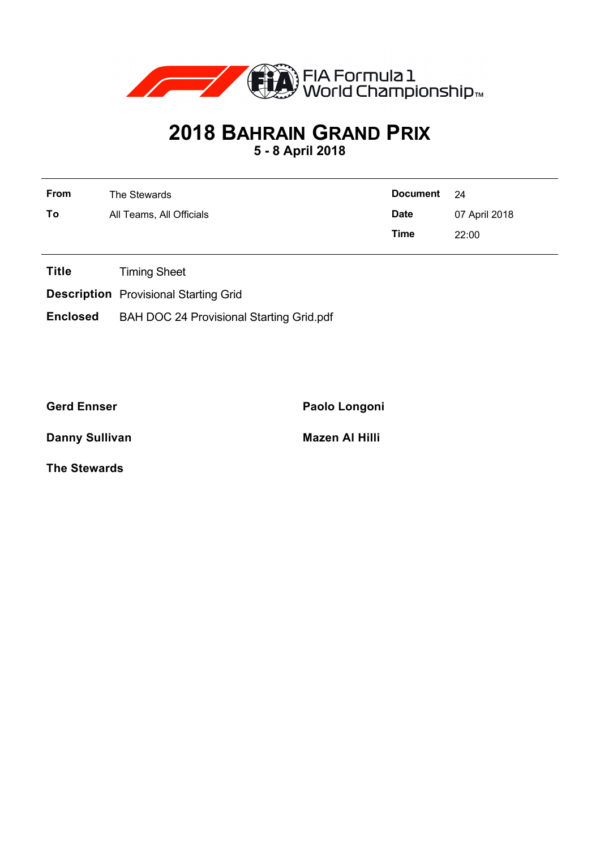

## **2018 BAHRAIN GRAND PRIX**

**5 - 8 April 2018**

| <b>From</b> | The Stewards             | Document 24 |               |
|-------------|--------------------------|-------------|---------------|
| To          | All Teams, All Officials | <b>Date</b> | 07 April 2018 |
|             |                          | Time        | 22:00         |

**Title** Timing Sheet

**Description** Provisional Starting Grid

**Enclosed** BAH DOC 24 Provisional Starting Grid.pdf

**Gerd Ennser Paolo Longoni**

**Danny Sullivan Mazen Al Hilli** 

**The Stewards**